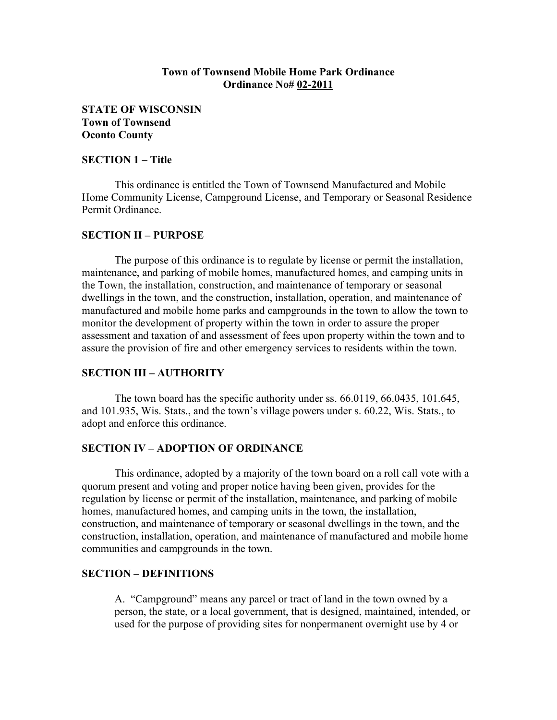## Town of Townsend Mobile Home Park Ordinance Ordinance No# 02-2011

STATE OF WISCONSIN Town of Townsend Oconto County

## SECTION 1 – Title

 This ordinance is entitled the Town of Townsend Manufactured and Mobile Home Community License, Campground License, and Temporary or Seasonal Residence Permit Ordinance.

## SECTION II – PURPOSE

 The purpose of this ordinance is to regulate by license or permit the installation, maintenance, and parking of mobile homes, manufactured homes, and camping units in the Town, the installation, construction, and maintenance of temporary or seasonal dwellings in the town, and the construction, installation, operation, and maintenance of manufactured and mobile home parks and campgrounds in the town to allow the town to monitor the development of property within the town in order to assure the proper assessment and taxation of and assessment of fees upon property within the town and to assure the provision of fire and other emergency services to residents within the town.

## SECTION III – AUTHORITY

 The town board has the specific authority under ss. 66.0119, 66.0435, 101.645, and 101.935, Wis. Stats., and the town's village powers under s. 60.22, Wis. Stats., to adopt and enforce this ordinance.

### SECTION IV – ADOPTION OF ORDINANCE

 This ordinance, adopted by a majority of the town board on a roll call vote with a quorum present and voting and proper notice having been given, provides for the regulation by license or permit of the installation, maintenance, and parking of mobile homes, manufactured homes, and camping units in the town, the installation, construction, and maintenance of temporary or seasonal dwellings in the town, and the construction, installation, operation, and maintenance of manufactured and mobile home communities and campgrounds in the town.

### SECTION – DEFINITIONS

A. "Campground" means any parcel or tract of land in the town owned by a person, the state, or a local government, that is designed, maintained, intended, or used for the purpose of providing sites for nonpermanent overnight use by 4 or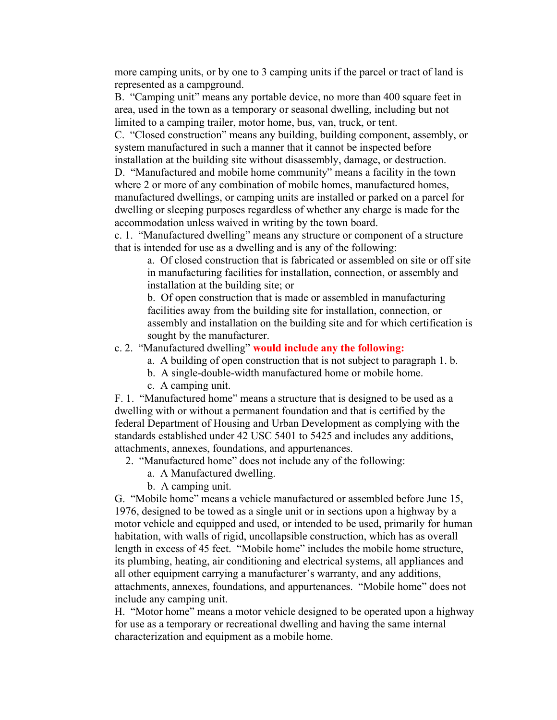more camping units, or by one to 3 camping units if the parcel or tract of land is represented as a campground.

B. "Camping unit" means any portable device, no more than 400 square feet in area, used in the town as a temporary or seasonal dwelling, including but not limited to a camping trailer, motor home, bus, van, truck, or tent.

C. "Closed construction" means any building, building component, assembly, or system manufactured in such a manner that it cannot be inspected before installation at the building site without disassembly, damage, or destruction.

D. "Manufactured and mobile home community" means a facility in the town where 2 or more of any combination of mobile homes, manufactured homes, manufactured dwellings, or camping units are installed or parked on a parcel for dwelling or sleeping purposes regardless of whether any charge is made for the accommodation unless waived in writing by the town board.

c. 1. "Manufactured dwelling" means any structure or component of a structure that is intended for use as a dwelling and is any of the following:

a. Of closed construction that is fabricated or assembled on site or off site in manufacturing facilities for installation, connection, or assembly and installation at the building site; or

b. Of open construction that is made or assembled in manufacturing facilities away from the building site for installation, connection, or assembly and installation on the building site and for which certification is sought by the manufacturer.

## c. 2. "Manufactured dwelling" would include any the following:

- a. A building of open construction that is not subject to paragraph 1. b.
- b. A single-double-width manufactured home or mobile home.
- c. A camping unit.

F. 1. "Manufactured home" means a structure that is designed to be used as a dwelling with or without a permanent foundation and that is certified by the federal Department of Housing and Urban Development as complying with the standards established under 42 USC 5401 to 5425 and includes any additions, attachments, annexes, foundations, and appurtenances.

- 2. "Manufactured home" does not include any of the following:
	- a. A Manufactured dwelling.
	- b. A camping unit.

G. "Mobile home" means a vehicle manufactured or assembled before June 15, 1976, designed to be towed as a single unit or in sections upon a highway by a motor vehicle and equipped and used, or intended to be used, primarily for human habitation, with walls of rigid, uncollapsible construction, which has as overall length in excess of 45 feet. "Mobile home" includes the mobile home structure, its plumbing, heating, air conditioning and electrical systems, all appliances and all other equipment carrying a manufacturer's warranty, and any additions, attachments, annexes, foundations, and appurtenances. "Mobile home" does not include any camping unit.

H. "Motor home" means a motor vehicle designed to be operated upon a highway for use as a temporary or recreational dwelling and having the same internal characterization and equipment as a mobile home.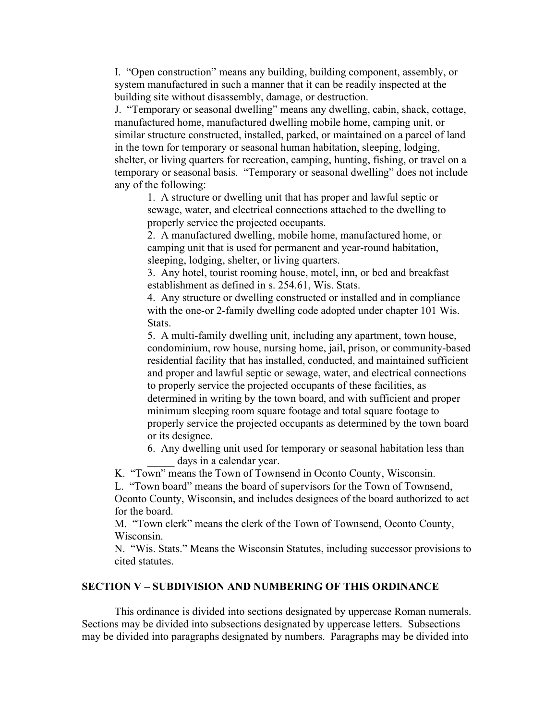I. "Open construction" means any building, building component, assembly, or system manufactured in such a manner that it can be readily inspected at the building site without disassembly, damage, or destruction.

J. "Temporary or seasonal dwelling" means any dwelling, cabin, shack, cottage, manufactured home, manufactured dwelling mobile home, camping unit, or similar structure constructed, installed, parked, or maintained on a parcel of land in the town for temporary or seasonal human habitation, sleeping, lodging, shelter, or living quarters for recreation, camping, hunting, fishing, or travel on a temporary or seasonal basis. "Temporary or seasonal dwelling" does not include any of the following:

1. A structure or dwelling unit that has proper and lawful septic or sewage, water, and electrical connections attached to the dwelling to properly service the projected occupants.

2. A manufactured dwelling, mobile home, manufactured home, or camping unit that is used for permanent and year-round habitation, sleeping, lodging, shelter, or living quarters.

3. Any hotel, tourist rooming house, motel, inn, or bed and breakfast establishment as defined in s. 254.61, Wis. Stats.

4. Any structure or dwelling constructed or installed and in compliance with the one-or 2-family dwelling code adopted under chapter 101 Wis. Stats.

5. A multi-family dwelling unit, including any apartment, town house, condominium, row house, nursing home, jail, prison, or community-based residential facility that has installed, conducted, and maintained sufficient and proper and lawful septic or sewage, water, and electrical connections to properly service the projected occupants of these facilities, as determined in writing by the town board, and with sufficient and proper minimum sleeping room square footage and total square footage to properly service the projected occupants as determined by the town board or its designee.

6. Any dwelling unit used for temporary or seasonal habitation less than days in a calendar year.

K. "Town" means the Town of Townsend in Oconto County, Wisconsin.

L. "Town board" means the board of supervisors for the Town of Townsend, Oconto County, Wisconsin, and includes designees of the board authorized to act for the board.

M. "Town clerk" means the clerk of the Town of Townsend, Oconto County, Wisconsin.

N. "Wis. Stats." Means the Wisconsin Statutes, including successor provisions to cited statutes.

## SECTION V – SUBDIVISION AND NUMBERING OF THIS ORDINANCE

 This ordinance is divided into sections designated by uppercase Roman numerals. Sections may be divided into subsections designated by uppercase letters. Subsections may be divided into paragraphs designated by numbers. Paragraphs may be divided into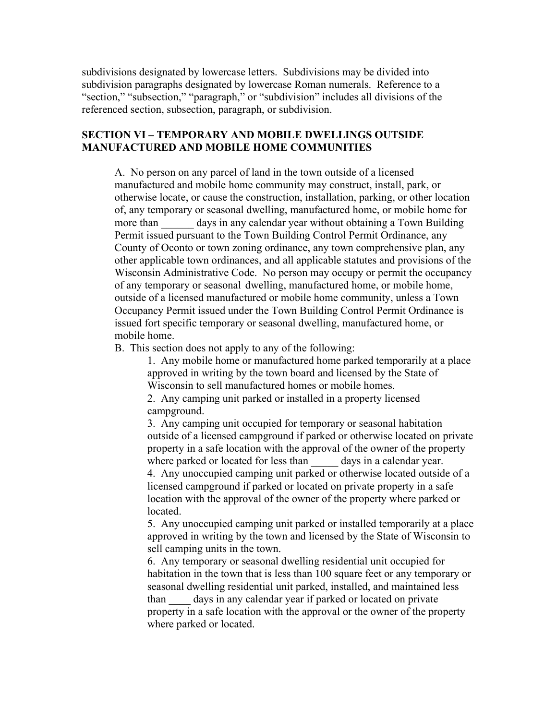subdivisions designated by lowercase letters. Subdivisions may be divided into subdivision paragraphs designated by lowercase Roman numerals. Reference to a "section," "subsection," "paragraph," or "subdivision" includes all divisions of the referenced section, subsection, paragraph, or subdivision.

# SECTION VI – TEMPORARY AND MOBILE DWELLINGS OUTSIDE MANUFACTURED AND MOBILE HOME COMMUNITIES

A. No person on any parcel of land in the town outside of a licensed manufactured and mobile home community may construct, install, park, or otherwise locate, or cause the construction, installation, parking, or other location of, any temporary or seasonal dwelling, manufactured home, or mobile home for more than days in any calendar year without obtaining a Town Building Permit issued pursuant to the Town Building Control Permit Ordinance, any County of Oconto or town zoning ordinance, any town comprehensive plan, any other applicable town ordinances, and all applicable statutes and provisions of the Wisconsin Administrative Code. No person may occupy or permit the occupancy of any temporary or seasonal dwelling, manufactured home, or mobile home, outside of a licensed manufactured or mobile home community, unless a Town Occupancy Permit issued under the Town Building Control Permit Ordinance is issued fort specific temporary or seasonal dwelling, manufactured home, or mobile home.

B. This section does not apply to any of the following:

1. Any mobile home or manufactured home parked temporarily at a place approved in writing by the town board and licensed by the State of Wisconsin to sell manufactured homes or mobile homes.

2. Any camping unit parked or installed in a property licensed campground.

3. Any camping unit occupied for temporary or seasonal habitation outside of a licensed campground if parked or otherwise located on private property in a safe location with the approval of the owner of the property where parked or located for less than days in a calendar year.

4. Any unoccupied camping unit parked or otherwise located outside of a licensed campground if parked or located on private property in a safe location with the approval of the owner of the property where parked or located.

5. Any unoccupied camping unit parked or installed temporarily at a place approved in writing by the town and licensed by the State of Wisconsin to sell camping units in the town.

6. Any temporary or seasonal dwelling residential unit occupied for habitation in the town that is less than 100 square feet or any temporary or seasonal dwelling residential unit parked, installed, and maintained less than days in any calendar year if parked or located on private property in a safe location with the approval or the owner of the property where parked or located.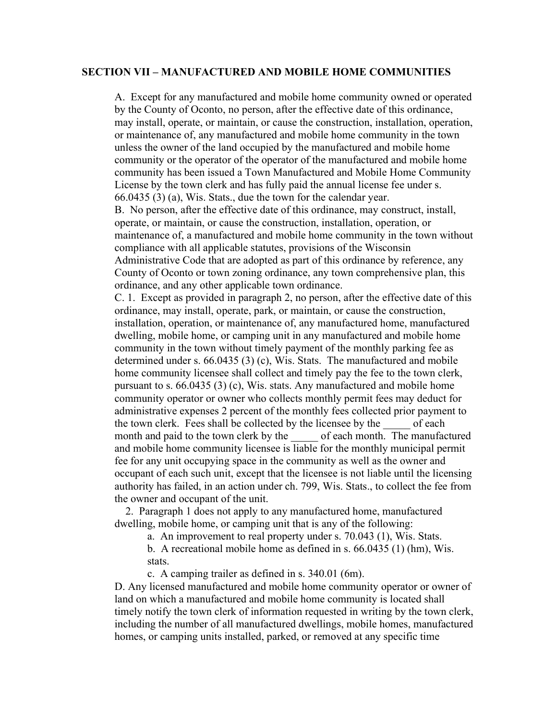#### SECTION VII – MANUFACTURED AND MOBILE HOME COMMUNITIES

A. Except for any manufactured and mobile home community owned or operated by the County of Oconto, no person, after the effective date of this ordinance, may install, operate, or maintain, or cause the construction, installation, operation, or maintenance of, any manufactured and mobile home community in the town unless the owner of the land occupied by the manufactured and mobile home community or the operator of the operator of the manufactured and mobile home community has been issued a Town Manufactured and Mobile Home Community License by the town clerk and has fully paid the annual license fee under s. 66.0435 (3) (a), Wis. Stats., due the town for the calendar year.

B. No person, after the effective date of this ordinance, may construct, install, operate, or maintain, or cause the construction, installation, operation, or maintenance of, a manufactured and mobile home community in the town without compliance with all applicable statutes, provisions of the Wisconsin Administrative Code that are adopted as part of this ordinance by reference, any County of Oconto or town zoning ordinance, any town comprehensive plan, this ordinance, and any other applicable town ordinance.

C. 1. Except as provided in paragraph 2, no person, after the effective date of this ordinance, may install, operate, park, or maintain, or cause the construction, installation, operation, or maintenance of, any manufactured home, manufactured dwelling, mobile home, or camping unit in any manufactured and mobile home community in the town without timely payment of the monthly parking fee as determined under s. 66.0435 (3) (c), Wis. Stats. The manufactured and mobile home community licensee shall collect and timely pay the fee to the town clerk, pursuant to s. 66.0435 (3) (c), Wis. stats. Any manufactured and mobile home community operator or owner who collects monthly permit fees may deduct for administrative expenses 2 percent of the monthly fees collected prior payment to the town clerk. Fees shall be collected by the licensee by the of each month and paid to the town clerk by the of each month. The manufactured and mobile home community licensee is liable for the monthly municipal permit fee for any unit occupying space in the community as well as the owner and occupant of each such unit, except that the licensee is not liable until the licensing authority has failed, in an action under ch. 799, Wis. Stats., to collect the fee from the owner and occupant of the unit.

 2. Paragraph 1 does not apply to any manufactured home, manufactured dwelling, mobile home, or camping unit that is any of the following:

a. An improvement to real property under s. 70.043 (1), Wis. Stats.

b. A recreational mobile home as defined in s. 66.0435 (1) (hm), Wis. stats.

c. A camping trailer as defined in s. 340.01 (6m).

D. Any licensed manufactured and mobile home community operator or owner of land on which a manufactured and mobile home community is located shall timely notify the town clerk of information requested in writing by the town clerk, including the number of all manufactured dwellings, mobile homes, manufactured homes, or camping units installed, parked, or removed at any specific time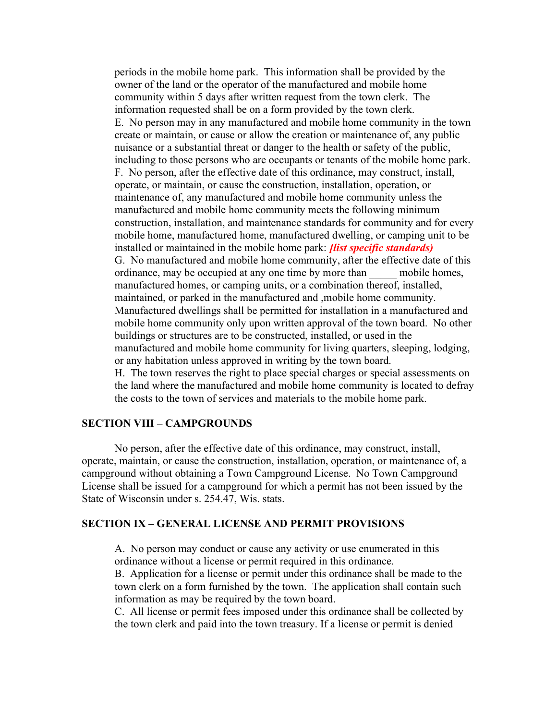periods in the mobile home park. This information shall be provided by the owner of the land or the operator of the manufactured and mobile home community within 5 days after written request from the town clerk. The information requested shall be on a form provided by the town clerk. E. No person may in any manufactured and mobile home community in the town create or maintain, or cause or allow the creation or maintenance of, any public nuisance or a substantial threat or danger to the health or safety of the public, including to those persons who are occupants or tenants of the mobile home park. F. No person, after the effective date of this ordinance, may construct, install, operate, or maintain, or cause the construction, installation, operation, or maintenance of, any manufactured and mobile home community unless the manufactured and mobile home community meets the following minimum construction, installation, and maintenance standards for community and for every mobile home, manufactured home, manufactured dwelling, or camping unit to be installed or maintained in the mobile home park: *[list specific standards]* G. No manufactured and mobile home community, after the effective date of this ordinance, may be occupied at any one time by more than mobile homes, manufactured homes, or camping units, or a combination thereof, installed, maintained, or parked in the manufactured and ,mobile home community. Manufactured dwellings shall be permitted for installation in a manufactured and mobile home community only upon written approval of the town board. No other buildings or structures are to be constructed, installed, or used in the manufactured and mobile home community for living quarters, sleeping, lodging, or any habitation unless approved in writing by the town board. H. The town reserves the right to place special charges or special assessments on the land where the manufactured and mobile home community is located to defray the costs to the town of services and materials to the mobile home park.

### SECTION VIII – CAMPGROUNDS

 No person, after the effective date of this ordinance, may construct, install, operate, maintain, or cause the construction, installation, operation, or maintenance of, a campground without obtaining a Town Campground License. No Town Campground License shall be issued for a campground for which a permit has not been issued by the State of Wisconsin under s. 254.47, Wis. stats.

#### SECTION IX – GENERAL LICENSE AND PERMIT PROVISIONS

A. No person may conduct or cause any activity or use enumerated in this ordinance without a license or permit required in this ordinance.

B. Application for a license or permit under this ordinance shall be made to the town clerk on a form furnished by the town. The application shall contain such information as may be required by the town board.

C. All license or permit fees imposed under this ordinance shall be collected by the town clerk and paid into the town treasury. If a license or permit is denied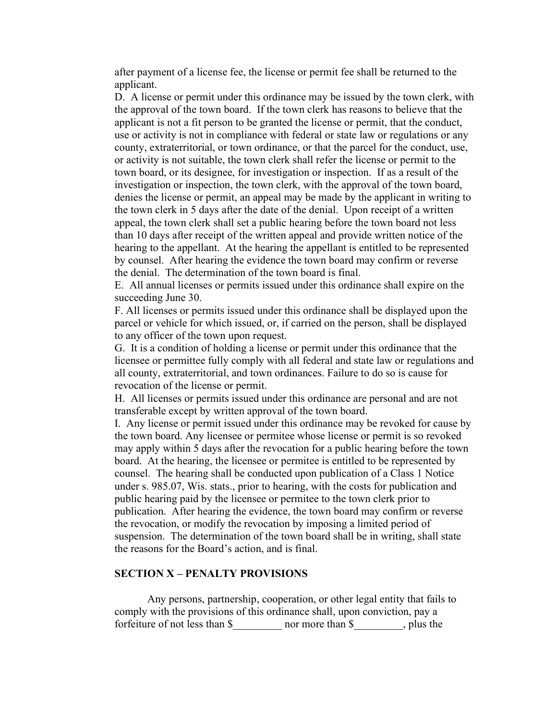after payment of a license fee, the license or permit fee shall be returned to the applicant.

D. A license or permit under this ordinance may be issued by the town clerk, with the approval of the town board. If the town clerk has reasons to believe that the applicant is not a fit person to be granted the license or permit, that the conduct, use or activity is not in compliance with federal or state law or regulations or any county, extraterritorial, or town ordinance, or that the parcel for the conduct, use, or activity is not suitable, the town clerk shall refer the license or permit to the town board, or its designee, for investigation or inspection. If as a result of the investigation or inspection, the town clerk, with the approval of the town board, denies the license or permit, an appeal may be made by the applicant in writing to the town clerk in 5 days after the date of the denial. Upon receipt of a written appeal, the town clerk shall set a public hearing before the town board not less than 10 days after receipt of the written appeal and provide written notice of the hearing to the appellant. At the hearing the appellant is entitled to be represented by counsel. After hearing the evidence the town board may confirm or reverse the denial. The determination of the town board is final.

E. All annual licenses or permits issued under this ordinance shall expire on the succeeding June 30.

F. All licenses or permits issued under this ordinance shall be displayed upon the parcel or vehicle for which issued, or, if carried on the person, shall be displayed to any officer of the town upon request.

G. It is a condition of holding a license or permit under this ordinance that the licensee or permittee fully comply with all federal and state law or regulations and all county, extraterritorial, and town ordinances. Failure to do so is cause for revocation of the license or permit.

H. All licenses or permits issued under this ordinance are personal and are not transferable except by written approval of the town board.

I. Any license or permit issued under this ordinance may be revoked for cause by the town board. Any licensee or permitee whose license or permit is so revoked may apply within 5 days after the revocation for a public hearing before the town board. At the hearing, the licensee or permitee is entitled to be represented by counsel. The hearing shall be conducted upon publication of a Class 1 Notice under s. 985.07, Wis. stats., prior to hearing, with the costs for publication and public hearing paid by the licensee or permitee to the town clerk prior to publication. After hearing the evidence, the town board may confirm or reverse the revocation, or modify the revocation by imposing a limited period of suspension. The determination of the town board shall be in writing, shall state the reasons for the Board's action, and is final.

#### SECTION X – PENALTY PROVISIONS

 Any persons, partnership, cooperation, or other legal entity that fails to comply with the provisions of this ordinance shall, upon conviction, pay a forfeiture of not less than \$ more than \$, plus the